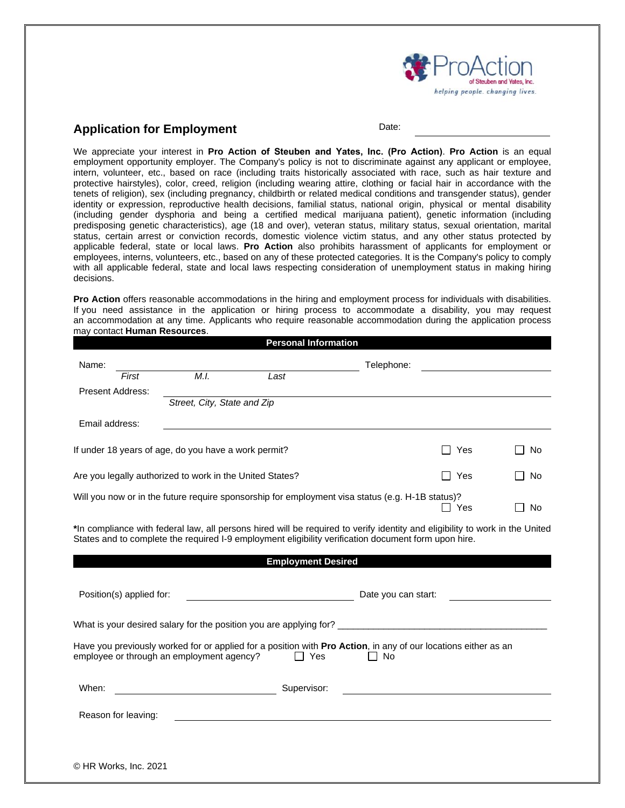

## **Application for Employment**

Date:

We appreciate your interest in **Pro Action of Steuben and Yates, Inc. (Pro Action)**. **Pro Action** is an equal employment opportunity employer. The Company's policy is not to discriminate against any applicant or employee, intern, volunteer, etc., based on race (including traits historically associated with race, such as hair texture and protective hairstyles), color, creed, religion (including wearing attire, clothing or facial hair in accordance with the tenets of religion), sex (including pregnancy, childbirth or related medical conditions and transgender status), gender identity or expression, reproductive health decisions, familial status, national origin, physical or mental disability (including gender dysphoria and being a certified medical marijuana patient), genetic information (including predisposing genetic characteristics), age (18 and over), veteran status, military status, sexual orientation, marital status, certain arrest or conviction records, domestic violence victim status, and any other status protected by applicable federal, state or local laws. **Pro Action** also prohibits harassment of applicants for employment or employees, interns, volunteers, etc., based on any of these protected categories. It is the Company's policy to comply with all applicable federal, state and local laws respecting consideration of unemployment status in making hiring decisions.

**Pro Action** offers reasonable accommodations in the hiring and employment process for individuals with disabilities. If you need assistance in the application or hiring process to accommodate a disability, you may request an accommodation at any time. Applicants who require reasonable accommodation during the application process may contact **Human Resources**.

|                                                      |                                                          |                                           | <b>Personal Information</b>                       |                                                                                                                                      |            |           |
|------------------------------------------------------|----------------------------------------------------------|-------------------------------------------|---------------------------------------------------|--------------------------------------------------------------------------------------------------------------------------------------|------------|-----------|
| Name:                                                |                                                          |                                           |                                                   | Telephone:                                                                                                                           |            |           |
|                                                      | First                                                    | M.I.                                      | Last                                              |                                                                                                                                      |            |           |
| <b>Present Address:</b>                              |                                                          |                                           |                                                   |                                                                                                                                      |            |           |
|                                                      |                                                          | Street, City, State and Zip               |                                                   |                                                                                                                                      |            |           |
| Email address:                                       |                                                          |                                           |                                                   |                                                                                                                                      |            |           |
| If under 18 years of age, do you have a work permit? |                                                          |                                           |                                                   | Yes                                                                                                                                  | No.        |           |
|                                                      | Are you legally authorized to work in the United States? |                                           |                                                   |                                                                                                                                      | Yes        | <b>No</b> |
|                                                      |                                                          |                                           |                                                   | Will you now or in the future require sponsorship for employment visa status (e.g. H-1B status)?                                     | $\Box$ Yes | No        |
| Position(s) applied for:                             |                                                          |                                           | <b>Employment Desired</b>                         | States and to complete the required I-9 employment eligibility verification document form upon hire.                                 |            |           |
|                                                      |                                                          |                                           | <u> 1990 - Johann Barnett, fransk politiker (</u> | Date you can start:                                                                                                                  |            |           |
|                                                      |                                                          |                                           |                                                   |                                                                                                                                      |            |           |
|                                                      |                                                          | employee or through an employment agency? | $\Box$ Yes                                        | Have you previously worked for or applied for a position with Pro Action, in any of our locations either as an<br>No<br>$\mathbf{I}$ |            |           |
| When:                                                |                                                          | $\overline{\phantom{a}}$                  | Supervisor:                                       |                                                                                                                                      |            |           |
| Reason for leaving:                                  |                                                          |                                           |                                                   |                                                                                                                                      |            |           |
|                                                      |                                                          |                                           |                                                   |                                                                                                                                      |            |           |
| © HR Works, Inc. 2021                                |                                                          |                                           |                                                   |                                                                                                                                      |            |           |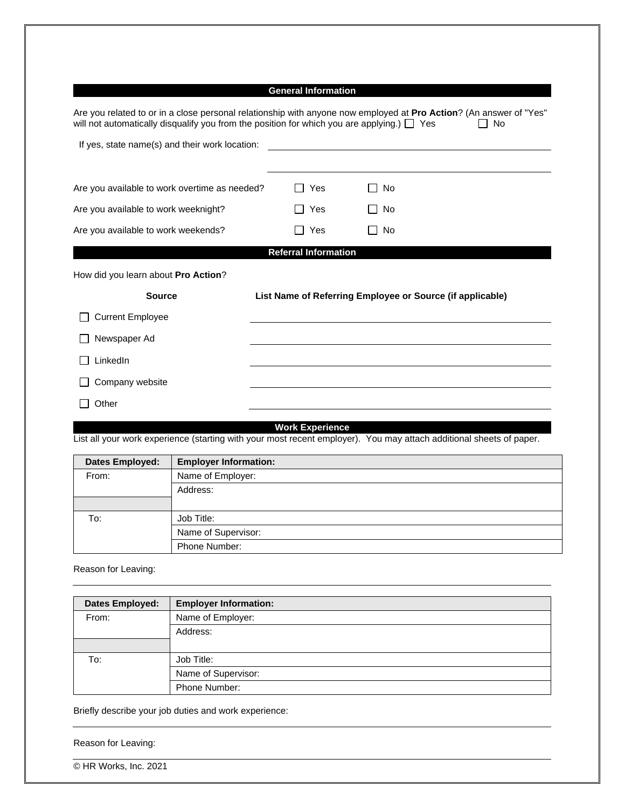# **General Information**

| Are you related to or in a close personal relationship with anyone now employed at <b>Pro Action</b> ? (An answer of "Yes"<br>will not automatically disqualify you from the position for which you are applying.) $\Box$ Yes<br>l I No |                                                           |                    |  |  |  |
|-----------------------------------------------------------------------------------------------------------------------------------------------------------------------------------------------------------------------------------------|-----------------------------------------------------------|--------------------|--|--|--|
| If yes, state name(s) and their work location:                                                                                                                                                                                          |                                                           |                    |  |  |  |
|                                                                                                                                                                                                                                         |                                                           |                    |  |  |  |
| Are you available to work overtime as needed?                                                                                                                                                                                           | Yes<br>. .                                                | No<br>$\mathbf{I}$ |  |  |  |
| Are you available to work weeknight?                                                                                                                                                                                                    | Yes<br>$\Box$                                             | No<br>$\mathsf{L}$ |  |  |  |
| Are you available to work weekends?                                                                                                                                                                                                     | Yes<br>$\blacksquare$                                     | No                 |  |  |  |
| <b>Referral Information</b>                                                                                                                                                                                                             |                                                           |                    |  |  |  |
| How did you learn about Pro Action?                                                                                                                                                                                                     |                                                           |                    |  |  |  |
| <b>Source</b>                                                                                                                                                                                                                           | List Name of Referring Employee or Source (if applicable) |                    |  |  |  |
| <b>Current Employee</b>                                                                                                                                                                                                                 |                                                           |                    |  |  |  |
| Newspaper Ad                                                                                                                                                                                                                            |                                                           |                    |  |  |  |
| LinkedIn                                                                                                                                                                                                                                |                                                           |                    |  |  |  |
| Company website                                                                                                                                                                                                                         |                                                           |                    |  |  |  |
| Other                                                                                                                                                                                                                                   |                                                           |                    |  |  |  |

## **Work Experience**

List all your work experience (starting with your most recent employer). You may attach additional sheets of paper.

| Dates Employed: | <b>Employer Information:</b> |
|-----------------|------------------------------|
| From:           | Name of Employer:            |
|                 | Address:                     |
|                 |                              |
| To:             | Job Title:                   |
|                 | Name of Supervisor:          |
|                 | Phone Number:                |

Reason for Leaving:

| <b>Dates Employed:</b> | <b>Employer Information:</b> |
|------------------------|------------------------------|
| From:                  | Name of Employer:            |
|                        | Address:                     |
|                        |                              |
| To:                    | Job Title:                   |
|                        | Name of Supervisor:          |
|                        | Phone Number:                |

Briefly describe your job duties and work experience:

Reason for Leaving: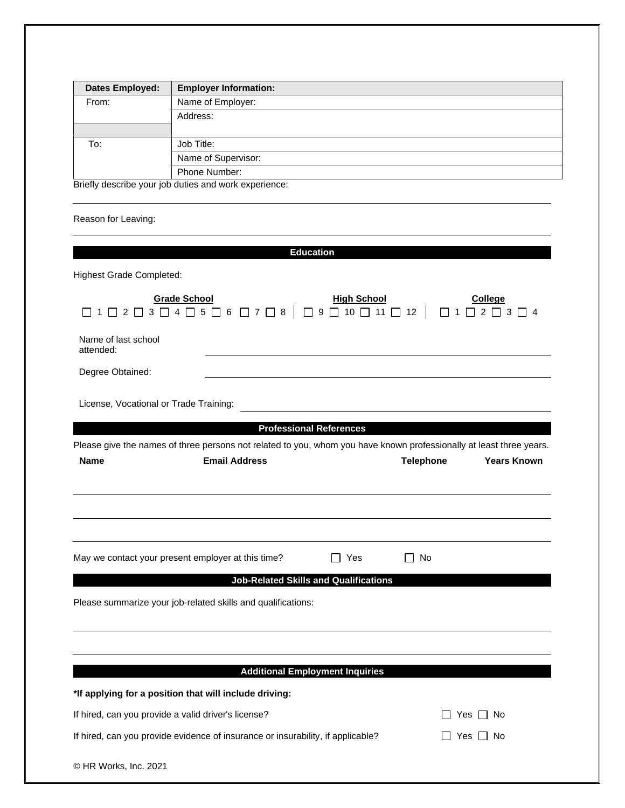| <b>Dates Employed:</b> | <b>Employer Information:</b>                                 |  |
|------------------------|--------------------------------------------------------------|--|
| From:                  | Name of Employer:                                            |  |
|                        | Address:                                                     |  |
|                        |                                                              |  |
| To:                    | Job Title:                                                   |  |
|                        | Name of Supervisor:                                          |  |
|                        | Phone Number:                                                |  |
|                        | <b>Briefly describe your job duties and work experience:</b> |  |

Briefly describe your job duties and work experience:

Reason for Leaving:

|                                                                                 |                                                                                                                     | <b>Education</b>                                                       |                  |                                                                                                                          |
|---------------------------------------------------------------------------------|---------------------------------------------------------------------------------------------------------------------|------------------------------------------------------------------------|------------------|--------------------------------------------------------------------------------------------------------------------------|
|                                                                                 |                                                                                                                     |                                                                        |                  |                                                                                                                          |
| <b>Highest Grade Completed:</b>                                                 |                                                                                                                     |                                                                        |                  |                                                                                                                          |
|                                                                                 | <b>Grade School</b><br>$\begin{array}{c}\n\Box 2 \Box 3 \Box 4 \Box 5 \Box 6 \Box 7 \Box 8\n\end{array}$            | <b>High School</b><br>$\Box$<br>9 $\Box$ 10 $\Box$ 11 $\Box$ 12 $\Box$ |                  | <b>College</b><br>$\begin{array}{ccccccccccccccccc}\n\square & 1 & \square & 2 & \square & 3 & \square & 4\n\end{array}$ |
| Name of last school<br>attended:                                                |                                                                                                                     |                                                                        |                  |                                                                                                                          |
| Degree Obtained:                                                                |                                                                                                                     |                                                                        |                  |                                                                                                                          |
| License, Vocational or Trade Training:                                          |                                                                                                                     |                                                                        |                  |                                                                                                                          |
|                                                                                 |                                                                                                                     | <b>Professional References</b>                                         |                  |                                                                                                                          |
|                                                                                 | Please give the names of three persons not related to you, whom you have known professionally at least three years. |                                                                        |                  |                                                                                                                          |
| <b>Name</b>                                                                     | <b>Email Address</b>                                                                                                |                                                                        | <b>Telephone</b> | <b>Years Known</b>                                                                                                       |
|                                                                                 |                                                                                                                     |                                                                        |                  |                                                                                                                          |
|                                                                                 |                                                                                                                     |                                                                        |                  |                                                                                                                          |
|                                                                                 |                                                                                                                     |                                                                        |                  |                                                                                                                          |
|                                                                                 |                                                                                                                     |                                                                        |                  |                                                                                                                          |
| May we contact your present employer at this time?                              |                                                                                                                     | □ Yes                                                                  | No               |                                                                                                                          |
|                                                                                 | <b>Job-Related Skills and Qualifications</b>                                                                        |                                                                        |                  |                                                                                                                          |
|                                                                                 | Please summarize your job-related skills and qualifications:                                                        |                                                                        |                  |                                                                                                                          |
|                                                                                 |                                                                                                                     |                                                                        |                  |                                                                                                                          |
|                                                                                 |                                                                                                                     |                                                                        |                  |                                                                                                                          |
|                                                                                 |                                                                                                                     |                                                                        |                  |                                                                                                                          |
|                                                                                 |                                                                                                                     | <b>Additional Employment Inquiries</b>                                 |                  |                                                                                                                          |
|                                                                                 | *If applying for a position that will include driving:                                                              |                                                                        |                  |                                                                                                                          |
| If hired, can you provide a valid driver's license?                             |                                                                                                                     | Yes                                                                    | No               |                                                                                                                          |
| If hired, can you provide evidence of insurance or insurability, if applicable? |                                                                                                                     |                                                                        |                  | _ Yes _ No                                                                                                               |
| © HR Works, Inc. 2021                                                           |                                                                                                                     |                                                                        |                  |                                                                                                                          |